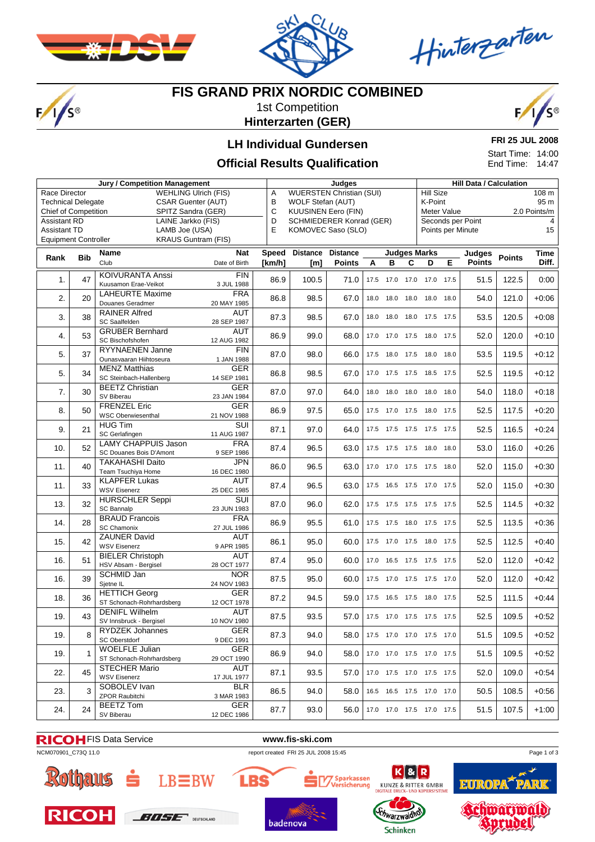

 $F/1/s$ 



Hinterzarten

## **FIS GRAND PRIX NORDIC COMBINED**

1st Competition **Hinterzarten (GER)**



### **LH Individual Gundersen**

#### **Official Results Qualification**

**FRI 25 JUL 2008**

Start Time: 14:00 End Time: 14:47

| <b>Jury / Competition Management</b>                   |            |                            |               |              | Judges                                    |                 |      |                |      |                              | <b>Hill Data / Calculation</b> |                   |               |         |  |
|--------------------------------------------------------|------------|----------------------------|---------------|--------------|-------------------------------------------|-----------------|------|----------------|------|------------------------------|--------------------------------|-------------------|---------------|---------|--|
| <b>WEHLING Ulrich (FIS)</b><br>Race Director           |            |                            |               |              | <b>WUERSTEN Christian (SUI)</b><br>Α      |                 |      |                |      |                              | <b>Hill Size</b><br>108 m      |                   |               |         |  |
| <b>Technical Delegate</b><br><b>CSAR Guenter (AUT)</b> |            |                            |               | В            | WOLF Stefan (AUT)                         |                 |      |                |      |                              | K-Point<br>95 m                |                   |               |         |  |
| <b>Chief of Competition</b>                            |            | SPITZ Sandra (GER)         |               |              | $\mathbf C$<br><b>KUUSINEN Eero (FIN)</b> |                 |      |                |      |                              | Meter Value<br>2.0 Points/m    |                   |               |         |  |
| <b>Assistant RD</b><br>LAINE Jarkko (FIS)              |            |                            |               | D            | <b>SCHMIEDERER Konrad (GER)</b>           |                 |      |                |      |                              |                                | Seconds per Point |               |         |  |
| <b>Assistant TD</b>                                    |            |                            |               | E            | KOMOVEC Saso (SLO)                        |                 |      |                |      |                              |                                | Points per Minute |               | 15      |  |
| LAMB Joe (USA)<br><b>Equipment Controller</b>          |            |                            |               |              |                                           |                 |      |                |      |                              |                                |                   |               |         |  |
| <b>KRAUS Guntram (FIS)</b>                             |            |                            |               |              |                                           |                 |      |                |      |                              |                                |                   |               |         |  |
|                                                        |            | <b>Name</b>                | <b>Nat</b>    | <b>Speed</b> | <b>Distance</b>                           | <b>Distance</b> |      |                |      | <b>Judges Marks</b>          |                                | Judges            |               | Time    |  |
| Rank                                                   | <b>Bib</b> | Club                       | Date of Birth | [km/h]       | [m]                                       | <b>Points</b>   | A    | B              | C    | D                            | Е                              | <b>Points</b>     | <b>Points</b> | Diff.   |  |
|                                                        |            |                            |               |              |                                           |                 |      |                |      |                              |                                |                   |               |         |  |
| 1.                                                     | 47         | <b>KOIVURANTA Anssi</b>    | <b>FIN</b>    | 86.9         | 100.5                                     | 71.0            |      |                |      | 17.5 17.0 17.0 17.0 17.5     |                                | 51.5              | 122.5         | 0:00    |  |
|                                                        |            | Kuusamon Erae-Veikot       | 3 JUL 1988    |              |                                           |                 |      |                |      |                              |                                |                   |               |         |  |
| 2.                                                     | 20         | <b>LAHEURTE Maxime</b>     | <b>FRA</b>    | 86.8         | 98.5                                      | 67.0            |      | 18.0 18.0 18.0 |      | 18.0                         | 18.0                           | 54.0              | 121.0         | $+0:06$ |  |
|                                                        |            | Douanes Geradmer           | 20 MAY 1985   |              |                                           |                 |      |                |      |                              |                                |                   |               |         |  |
| 3.                                                     | 38         | <b>RAINER Alfred</b>       | <b>AUT</b>    | 87.3         | 98.5                                      | 67.0            | 18.0 |                |      | 18.0 18.0 17.5 17.5          |                                | 53.5              | 120.5         | $+0:08$ |  |
|                                                        |            | SC Saalfelden              | 28 SEP 1987   |              |                                           |                 |      |                |      |                              |                                |                   |               |         |  |
| 4.                                                     | 53         | <b>GRUBER Bernhard</b>     | AUT           | 86.9         | 99.0                                      | 68.0            |      | 17.0 17.0      | 17.5 | 18.0                         | 17.5                           | 52.0              | 120.0         | $+0:10$ |  |
|                                                        |            | SC Bischofshofen           | 12 AUG 1982   |              |                                           |                 |      |                |      |                              |                                |                   |               |         |  |
| 5.                                                     | 37         | RYYNAENEN Janne            | FIN           | 87.0         | 98.0                                      | 66.0            | 17.5 | 18.0 17.5      |      | 18.0                         | 18.0                           | 53.5              | 119.5         | $+0:12$ |  |
|                                                        |            | Ounasvaaran Hiihtoseura    | 1 JAN 1988    |              |                                           |                 |      |                |      |                              |                                |                   |               |         |  |
| 5.                                                     | 34         | <b>MENZ Matthias</b>       | <b>GER</b>    | 86.8         | 98.5                                      | 67.0            |      | 17.0 17.5 17.5 |      | 18.5                         | 17.5                           | 52.5              | 119.5         | $+0:12$ |  |
|                                                        |            | SC Steinbach-Hallenberg    | 14 SEP 1981   |              |                                           |                 |      |                |      |                              |                                |                   |               |         |  |
| 7.                                                     | 30         | <b>BEETZ Christian</b>     | <b>GER</b>    | 87.0         | 97.0                                      | 64.0            | 18.0 | 18.0           | 18.0 | 18.0                         | 18.0                           | 54.0              | 118.0         | $+0:18$ |  |
|                                                        |            | SV Biberau                 | 23 JAN 1984   |              |                                           |                 |      |                |      |                              |                                |                   |               |         |  |
| 8.                                                     | 50         | <b>FRENZEL Eric</b>        | <b>GER</b>    | 86.9         | 97.5                                      | 65.0            |      |                |      | 17.5 17.0 17.5 18.0 17.5     |                                | 52.5              | 117.5         | $+0:20$ |  |
|                                                        |            | <b>WSC Oberwiesenthal</b>  | 21 NOV 1988   |              |                                           |                 |      |                |      |                              |                                |                   |               |         |  |
|                                                        |            | <b>HUG Tim</b>             | SUI           |              |                                           |                 |      |                |      |                              |                                |                   |               |         |  |
| 9.                                                     | 21         | SC Gerlafingen             | 11 AUG 1987   | 87.1         | 97.0                                      | 64.0            |      |                |      | 17.5 17.5 17.5 17.5 17.5     |                                | 52.5              | 116.5         | $+0:24$ |  |
|                                                        |            | <b>LAMY CHAPPUIS Jason</b> | <b>FRA</b>    |              |                                           |                 |      |                |      |                              |                                |                   |               |         |  |
| 10.                                                    | 52         | SC Douanes Bois D'Amont    | 9 SEP 1986    | 87.4         | 96.5                                      | 63.0            |      |                |      | 17.5 17.5 17.5 18.0 18.0     |                                | 53.0              | 116.0         | $+0:26$ |  |
|                                                        |            | <b>TAKAHASHI Daito</b>     | <b>JPN</b>    |              |                                           |                 |      |                |      |                              |                                |                   |               |         |  |
| 11.                                                    | 40         | Team Tsuchiya Home         | 16 DEC 1980   | 86.0         | 96.5                                      | 63.0            |      |                |      | 17.0 17.0 17.5 17.5          | 18.0                           | 52.0              | 115.0         | $+0:30$ |  |
|                                                        |            | <b>KLAPFER Lukas</b>       | AUT           |              |                                           |                 |      |                |      |                              |                                |                   |               |         |  |
| 11.                                                    | 33         | <b>WSV Eisenerz</b>        | 25 DEC 1985   | 87.4         | 96.5                                      | 63.0            |      |                |      | 17.5  16.5  17.5  17.0  17.5 |                                | 52.0              | 115.0         | $+0:30$ |  |
|                                                        |            | <b>HURSCHLER Seppi</b>     | SUI           |              |                                           |                 |      |                |      |                              |                                |                   |               |         |  |
| 13.                                                    | 32         | <b>SC Bannalp</b>          | 23 JUN 1983   | 87.0         | 96.0                                      | 62.0            | 17.5 | 17.5 17.5      |      | 17.5                         | 17.5                           | 52.5              | 114.5         | $+0:32$ |  |
|                                                        |            | <b>BRAUD Francois</b>      | <b>FRA</b>    |              |                                           |                 |      |                |      |                              |                                |                   |               |         |  |
| 14.                                                    | 28         | <b>SC Chamonix</b>         | 27 JUL 1986   | 86.9         | 95.5                                      | 61.0            | 17.5 | 17.5 18.0      |      | 17.5 17.5                    |                                | 52.5              | 113.5         | $+0:36$ |  |
|                                                        |            | <b>ZAUNER David</b>        | AUT           |              |                                           |                 |      |                |      |                              |                                |                   |               |         |  |
| 15.                                                    | 42         | <b>WSV Eisenerz</b>        | 9 APR 1985    | 86.1         | 95.0                                      | 60.0            |      | 17.5 17.0 17.5 |      | 18.0 17.5                    |                                | 52.5              | 112.5         | $+0:40$ |  |
|                                                        |            | <b>BIELER Christoph</b>    | AUT           |              |                                           |                 |      |                |      |                              |                                |                   |               |         |  |
| 16.                                                    | 51         | HSV Absam - Bergisel       | 28 OCT 1977   | 87.4         | 95.0                                      | 60.0            | 17.0 | 16.5 17.5      |      | 17.5                         | 17.5                           | 52.0              | 112.0         | $+0.42$ |  |
|                                                        |            | SCHMID Jan                 | NOR           |              |                                           |                 |      |                |      |                              |                                |                   |               |         |  |
| 16.                                                    | 39         | Sjetne IL                  | 24 NOV 1983   | 87.5         | 95.0                                      | 60.0            |      |                |      | 17.5 17.0 17.5 17.5 17.0     |                                | 52.0              | 112.0         | $+0:42$ |  |
|                                                        |            | <b>HETTICH Georg</b>       | <b>GER</b>    |              |                                           |                 |      |                |      |                              |                                |                   |               |         |  |
| 18.                                                    | 36         | ST Schonach-Rohrhardsberg  | 12 OCT 1978   | 87.2         | 94.5                                      | 59.0            |      |                |      | 17.5  16.5  17.5  18.0  17.5 |                                | 52.5              | 111.5         | $+0:44$ |  |
|                                                        |            | <b>DENIFL Wilhelm</b>      | <b>AUT</b>    |              |                                           |                 |      |                |      |                              |                                |                   |               |         |  |
| 19.                                                    | 43         | SV Innsbruck - Bergisel    | 10 NOV 1980   | 87.5         | 93.5                                      | 57.0            |      |                |      | 17.5 17.0 17.5 17.5 17.5     |                                | 52.5              | 109.5         | $+0:52$ |  |
|                                                        |            | <b>RYDZEK Johannes</b>     | GER           |              |                                           |                 |      |                |      |                              |                                |                   |               |         |  |
| 19.                                                    | 8          | SC Oberstdorf              | 9 DEC 1991    | 87.3         | 94.0                                      | 58.0            |      |                |      | 17.5 17.0 17.0 17.5 17.0     |                                | 51.5              | 109.5         | $+0:52$ |  |
|                                                        |            | <b>WOELFLE Julian</b>      | <b>GER</b>    |              |                                           |                 |      |                |      |                              |                                |                   |               |         |  |
| 19.                                                    | 1          | ST Schonach-Rohrhardsberg  | 29 OCT 1990   | 86.9         | 94.0                                      | 58.0            |      |                |      | 17.0 17.0 17.5 17.0 17.5     |                                | 51.5              | 109.5         | $+0:52$ |  |
|                                                        |            | <b>STECHER Mario</b>       | AUT           |              |                                           |                 |      |                |      |                              |                                |                   |               |         |  |
| 22.                                                    | 45         | <b>WSV Eisenerz</b>        | 17 JUL 1977   | 87.1         | 93.5                                      | 57.0            |      |                |      | 17.0 17.5 17.0 17.5 17.5     |                                | 52.0              | 109.0         | $+0.54$ |  |
|                                                        |            | SOBOLEV Ivan               | <b>BLR</b>    |              |                                           |                 |      |                |      |                              |                                |                   |               |         |  |
| 23.                                                    | 3          | <b>ZPOR Raubitchi</b>      | 3 MAR 1983    | 86.5         | 94.0                                      | 58.0            |      |                |      | 16.5 16.5 17.5 17.0 17.0     |                                | 50.5              | 108.5         | $+0.56$ |  |
|                                                        |            | <b>BEETZ Tom</b>           | <b>GER</b>    |              |                                           |                 |      |                |      |                              |                                |                   |               |         |  |
| 24.                                                    | 24         | SV Biberau                 | 12 DEC 1986   | 87.7         | 93.0                                      | 56.0            |      |                |      | 17.0 17.0 17.5 17.0 17.5     |                                | 51.5              | 107.5         | $+1:00$ |  |

#### FIS Data Service **www.fis-ski.com**











Page 1 of 3





LBS



chwarzwaldt

**Schinken**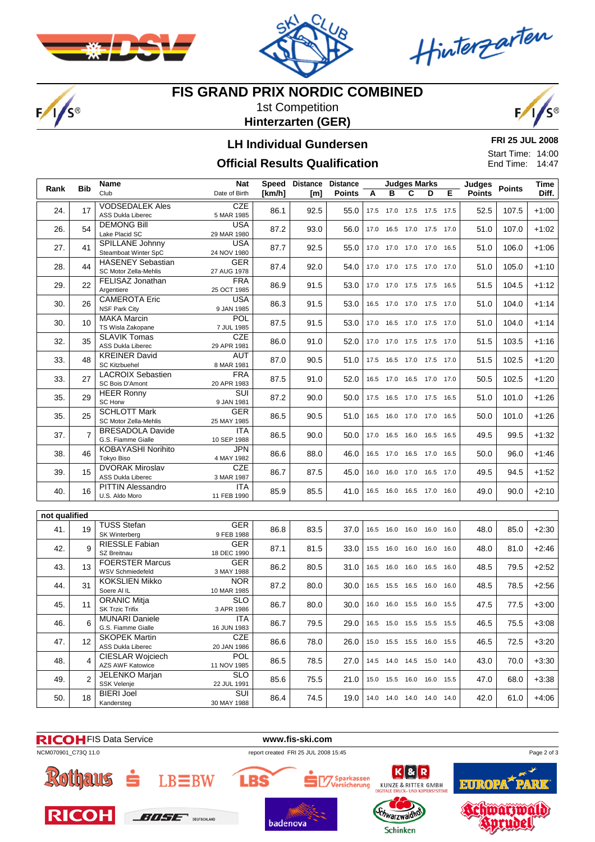

 $F/I/S^{\circ}$ 



Hinterzarten

### **FIS GRAND PRIX NORDIC COMBINED**

1st Competition **Hinterzarten (GER)**



#### **LH Individual Gundersen**

#### **Official Results Qualification**

**FRI 25 JUL 2008** Start Time: 14:00 End Time: 14:47

| Club<br>в<br>C<br><b>Points</b><br>Date of Birth<br>[km/h]<br><b>Points</b><br>D<br>Е<br>A<br>[m]<br><b>CZE</b><br><b>VODSEDALEK Ales</b><br>24.<br>17<br>86.1<br>92.5<br>55.0<br>52.5<br>107.5<br>17.5 17.0 17.5 17.5 17.5<br>5 MAR 1985<br>ASS Dukla Liberec<br><b>DEMONG Bill</b><br><b>USA</b><br>26.<br>54<br>87.2<br>93.0<br>17.0  16.5  17.0  17.5  17.0<br>51.0<br>107.0<br>56.0<br>Lake Placid SC<br>29 MAR 1980<br>SPILLANE Johnny<br><b>USA</b><br>27.<br>41<br>87.7<br>92.5<br>17.0 17.0 17.0 17.0 16.5<br>51.0<br>106.0<br>55.0<br>Steamboat Winter SpC<br>24 NOV 1980<br><b>GER</b><br><b>HASENEY Sebastian</b><br>28.<br>44<br>87.4<br>92.0<br>54.0<br>17.0 17.0 17.5 17.0 17.0<br>51.0<br>105.0<br>SC Motor Zella-Mehlis<br>27 AUG 1978<br><b>FRA</b><br>FELISAZ Jonathan<br>22<br>17.0 17.0 17.5 17.5 16.5<br>29.<br>86.9<br>91.5<br>53.0<br>51.5<br>104.5<br>Argentiere<br>25 OCT 1985<br><b>CAMEROTA Eric</b><br><b>USA</b><br>30.<br>26<br>86.3<br>91.5<br>53.0<br>16.5 17.0 17.0 17.5 17.0<br>51.0<br>104.0<br><b>NSF Park City</b><br>9 JAN 1985<br>POL<br><b>MAKA Marcin</b><br>30.<br>10<br>87.5<br>17.0  16.5  17.0  17.5  17.0<br>51.0<br>104.0<br>91.5<br>53.0<br>TS Wisla Zakopane<br>7 JUL 1985<br><b>CZE</b><br><b>SLAVIK Tomas</b><br>32.<br>35<br>86.0<br>91.0<br>52.0<br>17.0 17.0 17.5 17.5 17.0<br>103.5<br>51.5<br>ASS Dukla Liberec<br>29 APR 1981<br><b>KREINER David</b><br>AUT<br>87.0<br>17.5  16.5  17.0  17.5  17.0<br>51.5<br>102.5<br>$+1:20$<br>33.<br>48<br>90.5<br>51.0<br><b>SC Kitzbuehel</b><br>8 MAR 1981<br><b>LACROIX Sebastien</b><br><b>FRA</b><br>$+1:20$<br>27<br>102.5<br>33.<br>87.5<br>91.0<br>52.0<br>16.5 17.0 16.5 17.0 17.0<br>50.5<br>SC Bois D'Amont<br>20 APR 1983<br><b>HEER Ronny</b><br>SUI<br>35.<br>29<br>87.2<br>90.0<br>51.0<br>101.0<br>$+1:26$<br>50.0<br>17.5  16.5  17.0  17.5  16.5<br>SC Horw<br>9 JAN 1981<br><b>SCHLOTT Mark</b><br><b>GER</b><br>35.<br>25<br>86.5<br>16.5 16.0 17.0 17.0 16.5<br>50.0<br>101.0<br>90.5<br>51.0<br>SC Motor Zella-Mehlis<br>25 MAY 1985<br><b>BRESADOLA Davide</b><br><b>ITA</b><br>$\overline{7}$<br>99.5<br>37.<br>86.5<br>90.0<br>50.0<br>17.0  16.5  16.0  16.5  16.5<br>49.5<br>G.S. Fiamme Gialle<br>10 SEP 1988<br><b>JPN</b><br>KOBAYASHI Norihito<br>38.<br>46<br>86.6<br>16.5 17.0 16.5 17.0 16.5<br>96.0<br>88.0<br>46.0<br>50.0<br>Tokyo Biso<br>4 MAY 1982<br><b>CZE</b><br><b>DVORAK Miroslav</b><br>15<br>39.<br>86.7<br>87.5<br>45.0<br>16.0 16.0 17.0 16.5 17.0<br>49.5<br>94.5<br>ASS Dukla Liberec<br>3 MAR 1987<br><b>PITTIN Alessandro</b><br>ITA<br>16<br>85.9<br>41.0<br>16.5 16.0 16.5 17.0 16.0<br>90.0<br>40.<br>85.5<br>49.0<br>U.S. Aldo Moro<br>11 FEB 1990<br>not qualified<br><b>TUSS Stefan</b><br>GER<br>41.<br>19<br>86.8<br>83.5<br>48.0<br>85.0<br>37.0<br>16.5 16.0 16.0 16.0 16.0<br>9 FEB 1988<br>SK Winterberg |      |            | Name | <b>Nat</b> | Speed Distance | <b>Distance</b><br><b>Judges Marks</b> |  |  |  |  | <b>Judges</b><br>Points | Time |  |         |
|----------------------------------------------------------------------------------------------------------------------------------------------------------------------------------------------------------------------------------------------------------------------------------------------------------------------------------------------------------------------------------------------------------------------------------------------------------------------------------------------------------------------------------------------------------------------------------------------------------------------------------------------------------------------------------------------------------------------------------------------------------------------------------------------------------------------------------------------------------------------------------------------------------------------------------------------------------------------------------------------------------------------------------------------------------------------------------------------------------------------------------------------------------------------------------------------------------------------------------------------------------------------------------------------------------------------------------------------------------------------------------------------------------------------------------------------------------------------------------------------------------------------------------------------------------------------------------------------------------------------------------------------------------------------------------------------------------------------------------------------------------------------------------------------------------------------------------------------------------------------------------------------------------------------------------------------------------------------------------------------------------------------------------------------------------------------------------------------------------------------------------------------------------------------------------------------------------------------------------------------------------------------------------------------------------------------------------------------------------------------------------------------------------------------------------------------------------------------------------------------------------------------------------------------------------------------------------------------------------------------------------------------------------------------------------------------------------------------------------------------------------------------------------------------------------------------------------------------------------------------------|------|------------|------|------------|----------------|----------------------------------------|--|--|--|--|-------------------------|------|--|---------|
|                                                                                                                                                                                                                                                                                                                                                                                                                                                                                                                                                                                                                                                                                                                                                                                                                                                                                                                                                                                                                                                                                                                                                                                                                                                                                                                                                                                                                                                                                                                                                                                                                                                                                                                                                                                                                                                                                                                                                                                                                                                                                                                                                                                                                                                                                                                                                                                                                                                                                                                                                                                                                                                                                                                                                                                                                                                                            | Rank | <b>Bib</b> |      |            |                |                                        |  |  |  |  |                         |      |  | Diff.   |
|                                                                                                                                                                                                                                                                                                                                                                                                                                                                                                                                                                                                                                                                                                                                                                                                                                                                                                                                                                                                                                                                                                                                                                                                                                                                                                                                                                                                                                                                                                                                                                                                                                                                                                                                                                                                                                                                                                                                                                                                                                                                                                                                                                                                                                                                                                                                                                                                                                                                                                                                                                                                                                                                                                                                                                                                                                                                            |      |            |      |            |                |                                        |  |  |  |  |                         |      |  | $+1:00$ |
|                                                                                                                                                                                                                                                                                                                                                                                                                                                                                                                                                                                                                                                                                                                                                                                                                                                                                                                                                                                                                                                                                                                                                                                                                                                                                                                                                                                                                                                                                                                                                                                                                                                                                                                                                                                                                                                                                                                                                                                                                                                                                                                                                                                                                                                                                                                                                                                                                                                                                                                                                                                                                                                                                                                                                                                                                                                                            |      |            |      |            |                |                                        |  |  |  |  |                         |      |  | $+1:02$ |
|                                                                                                                                                                                                                                                                                                                                                                                                                                                                                                                                                                                                                                                                                                                                                                                                                                                                                                                                                                                                                                                                                                                                                                                                                                                                                                                                                                                                                                                                                                                                                                                                                                                                                                                                                                                                                                                                                                                                                                                                                                                                                                                                                                                                                                                                                                                                                                                                                                                                                                                                                                                                                                                                                                                                                                                                                                                                            |      |            |      |            |                |                                        |  |  |  |  |                         |      |  | $+1:06$ |
|                                                                                                                                                                                                                                                                                                                                                                                                                                                                                                                                                                                                                                                                                                                                                                                                                                                                                                                                                                                                                                                                                                                                                                                                                                                                                                                                                                                                                                                                                                                                                                                                                                                                                                                                                                                                                                                                                                                                                                                                                                                                                                                                                                                                                                                                                                                                                                                                                                                                                                                                                                                                                                                                                                                                                                                                                                                                            |      |            |      |            |                |                                        |  |  |  |  |                         |      |  | $+1:10$ |
|                                                                                                                                                                                                                                                                                                                                                                                                                                                                                                                                                                                                                                                                                                                                                                                                                                                                                                                                                                                                                                                                                                                                                                                                                                                                                                                                                                                                                                                                                                                                                                                                                                                                                                                                                                                                                                                                                                                                                                                                                                                                                                                                                                                                                                                                                                                                                                                                                                                                                                                                                                                                                                                                                                                                                                                                                                                                            |      |            |      |            |                |                                        |  |  |  |  |                         |      |  | $+1:12$ |
|                                                                                                                                                                                                                                                                                                                                                                                                                                                                                                                                                                                                                                                                                                                                                                                                                                                                                                                                                                                                                                                                                                                                                                                                                                                                                                                                                                                                                                                                                                                                                                                                                                                                                                                                                                                                                                                                                                                                                                                                                                                                                                                                                                                                                                                                                                                                                                                                                                                                                                                                                                                                                                                                                                                                                                                                                                                                            |      |            |      |            |                |                                        |  |  |  |  |                         |      |  | $+1:14$ |
|                                                                                                                                                                                                                                                                                                                                                                                                                                                                                                                                                                                                                                                                                                                                                                                                                                                                                                                                                                                                                                                                                                                                                                                                                                                                                                                                                                                                                                                                                                                                                                                                                                                                                                                                                                                                                                                                                                                                                                                                                                                                                                                                                                                                                                                                                                                                                                                                                                                                                                                                                                                                                                                                                                                                                                                                                                                                            |      |            |      |            |                |                                        |  |  |  |  |                         |      |  | $+1:14$ |
|                                                                                                                                                                                                                                                                                                                                                                                                                                                                                                                                                                                                                                                                                                                                                                                                                                                                                                                                                                                                                                                                                                                                                                                                                                                                                                                                                                                                                                                                                                                                                                                                                                                                                                                                                                                                                                                                                                                                                                                                                                                                                                                                                                                                                                                                                                                                                                                                                                                                                                                                                                                                                                                                                                                                                                                                                                                                            |      |            |      |            |                |                                        |  |  |  |  |                         |      |  | $+1:16$ |
|                                                                                                                                                                                                                                                                                                                                                                                                                                                                                                                                                                                                                                                                                                                                                                                                                                                                                                                                                                                                                                                                                                                                                                                                                                                                                                                                                                                                                                                                                                                                                                                                                                                                                                                                                                                                                                                                                                                                                                                                                                                                                                                                                                                                                                                                                                                                                                                                                                                                                                                                                                                                                                                                                                                                                                                                                                                                            |      |            |      |            |                |                                        |  |  |  |  |                         |      |  |         |
|                                                                                                                                                                                                                                                                                                                                                                                                                                                                                                                                                                                                                                                                                                                                                                                                                                                                                                                                                                                                                                                                                                                                                                                                                                                                                                                                                                                                                                                                                                                                                                                                                                                                                                                                                                                                                                                                                                                                                                                                                                                                                                                                                                                                                                                                                                                                                                                                                                                                                                                                                                                                                                                                                                                                                                                                                                                                            |      |            |      |            |                |                                        |  |  |  |  |                         |      |  |         |
|                                                                                                                                                                                                                                                                                                                                                                                                                                                                                                                                                                                                                                                                                                                                                                                                                                                                                                                                                                                                                                                                                                                                                                                                                                                                                                                                                                                                                                                                                                                                                                                                                                                                                                                                                                                                                                                                                                                                                                                                                                                                                                                                                                                                                                                                                                                                                                                                                                                                                                                                                                                                                                                                                                                                                                                                                                                                            |      |            |      |            |                |                                        |  |  |  |  |                         |      |  |         |
|                                                                                                                                                                                                                                                                                                                                                                                                                                                                                                                                                                                                                                                                                                                                                                                                                                                                                                                                                                                                                                                                                                                                                                                                                                                                                                                                                                                                                                                                                                                                                                                                                                                                                                                                                                                                                                                                                                                                                                                                                                                                                                                                                                                                                                                                                                                                                                                                                                                                                                                                                                                                                                                                                                                                                                                                                                                                            |      |            |      |            |                |                                        |  |  |  |  |                         |      |  |         |
|                                                                                                                                                                                                                                                                                                                                                                                                                                                                                                                                                                                                                                                                                                                                                                                                                                                                                                                                                                                                                                                                                                                                                                                                                                                                                                                                                                                                                                                                                                                                                                                                                                                                                                                                                                                                                                                                                                                                                                                                                                                                                                                                                                                                                                                                                                                                                                                                                                                                                                                                                                                                                                                                                                                                                                                                                                                                            |      |            |      |            |                |                                        |  |  |  |  |                         |      |  | $+1:26$ |
|                                                                                                                                                                                                                                                                                                                                                                                                                                                                                                                                                                                                                                                                                                                                                                                                                                                                                                                                                                                                                                                                                                                                                                                                                                                                                                                                                                                                                                                                                                                                                                                                                                                                                                                                                                                                                                                                                                                                                                                                                                                                                                                                                                                                                                                                                                                                                                                                                                                                                                                                                                                                                                                                                                                                                                                                                                                                            |      |            |      |            |                |                                        |  |  |  |  |                         |      |  | $+1:32$ |
|                                                                                                                                                                                                                                                                                                                                                                                                                                                                                                                                                                                                                                                                                                                                                                                                                                                                                                                                                                                                                                                                                                                                                                                                                                                                                                                                                                                                                                                                                                                                                                                                                                                                                                                                                                                                                                                                                                                                                                                                                                                                                                                                                                                                                                                                                                                                                                                                                                                                                                                                                                                                                                                                                                                                                                                                                                                                            |      |            |      |            |                |                                        |  |  |  |  |                         |      |  | $+1:46$ |
|                                                                                                                                                                                                                                                                                                                                                                                                                                                                                                                                                                                                                                                                                                                                                                                                                                                                                                                                                                                                                                                                                                                                                                                                                                                                                                                                                                                                                                                                                                                                                                                                                                                                                                                                                                                                                                                                                                                                                                                                                                                                                                                                                                                                                                                                                                                                                                                                                                                                                                                                                                                                                                                                                                                                                                                                                                                                            |      |            |      |            |                |                                        |  |  |  |  |                         |      |  | $+1:52$ |
|                                                                                                                                                                                                                                                                                                                                                                                                                                                                                                                                                                                                                                                                                                                                                                                                                                                                                                                                                                                                                                                                                                                                                                                                                                                                                                                                                                                                                                                                                                                                                                                                                                                                                                                                                                                                                                                                                                                                                                                                                                                                                                                                                                                                                                                                                                                                                                                                                                                                                                                                                                                                                                                                                                                                                                                                                                                                            |      |            |      |            |                |                                        |  |  |  |  |                         |      |  | $+2:10$ |
|                                                                                                                                                                                                                                                                                                                                                                                                                                                                                                                                                                                                                                                                                                                                                                                                                                                                                                                                                                                                                                                                                                                                                                                                                                                                                                                                                                                                                                                                                                                                                                                                                                                                                                                                                                                                                                                                                                                                                                                                                                                                                                                                                                                                                                                                                                                                                                                                                                                                                                                                                                                                                                                                                                                                                                                                                                                                            |      |            |      |            |                |                                        |  |  |  |  |                         |      |  |         |
|                                                                                                                                                                                                                                                                                                                                                                                                                                                                                                                                                                                                                                                                                                                                                                                                                                                                                                                                                                                                                                                                                                                                                                                                                                                                                                                                                                                                                                                                                                                                                                                                                                                                                                                                                                                                                                                                                                                                                                                                                                                                                                                                                                                                                                                                                                                                                                                                                                                                                                                                                                                                                                                                                                                                                                                                                                                                            |      |            |      |            |                |                                        |  |  |  |  |                         |      |  |         |
|                                                                                                                                                                                                                                                                                                                                                                                                                                                                                                                                                                                                                                                                                                                                                                                                                                                                                                                                                                                                                                                                                                                                                                                                                                                                                                                                                                                                                                                                                                                                                                                                                                                                                                                                                                                                                                                                                                                                                                                                                                                                                                                                                                                                                                                                                                                                                                                                                                                                                                                                                                                                                                                                                                                                                                                                                                                                            |      |            |      |            |                |                                        |  |  |  |  |                         |      |  | $+2:30$ |
| <b>GER</b><br><b>RIESSLE Fabian</b><br>9<br>42.<br>87.1<br>81.5<br>33.0<br>15.5 16.0 16.0 16.0<br>48.0<br>81.0<br>16.0<br>SZ Breitnau<br>18 DEC 1990                                                                                                                                                                                                                                                                                                                                                                                                                                                                                                                                                                                                                                                                                                                                                                                                                                                                                                                                                                                                                                                                                                                                                                                                                                                                                                                                                                                                                                                                                                                                                                                                                                                                                                                                                                                                                                                                                                                                                                                                                                                                                                                                                                                                                                                                                                                                                                                                                                                                                                                                                                                                                                                                                                                       |      |            |      |            |                |                                        |  |  |  |  |                         |      |  | +2:46   |
| <b>FOERSTER Marcus</b><br><b>GER</b><br>43.<br>13<br>86.2<br>80.5<br>31.0<br>48.5<br>79.5<br>16.5 16.0 16.0 16.5<br>16.0<br>WSV Schmiedefeld<br>3 MAY 1988                                                                                                                                                                                                                                                                                                                                                                                                                                                                                                                                                                                                                                                                                                                                                                                                                                                                                                                                                                                                                                                                                                                                                                                                                                                                                                                                                                                                                                                                                                                                                                                                                                                                                                                                                                                                                                                                                                                                                                                                                                                                                                                                                                                                                                                                                                                                                                                                                                                                                                                                                                                                                                                                                                                 |      |            |      |            |                |                                        |  |  |  |  |                         |      |  | $+2:52$ |
| <b>NOR</b><br><b>KOKSLIEN Mikko</b><br>31<br>44.<br>87.2<br>78.5<br>80.0<br>30.0<br>16.5 15.5 16.5 16.0<br>48.5<br>16.0<br>Soere Al IL<br>10 MAR 1985                                                                                                                                                                                                                                                                                                                                                                                                                                                                                                                                                                                                                                                                                                                                                                                                                                                                                                                                                                                                                                                                                                                                                                                                                                                                                                                                                                                                                                                                                                                                                                                                                                                                                                                                                                                                                                                                                                                                                                                                                                                                                                                                                                                                                                                                                                                                                                                                                                                                                                                                                                                                                                                                                                                      |      |            |      |            |                |                                        |  |  |  |  |                         |      |  | $+2:56$ |
| <b>ORANIC Mitja</b><br><b>SLO</b><br>11<br>86.7<br>45.<br>80.0<br>47.5<br>77.5<br>30.0<br>16.0 16.0 15.5 16.0<br>15.5<br><b>SK Trzic Trifix</b><br>3 APR 1986                                                                                                                                                                                                                                                                                                                                                                                                                                                                                                                                                                                                                                                                                                                                                                                                                                                                                                                                                                                                                                                                                                                                                                                                                                                                                                                                                                                                                                                                                                                                                                                                                                                                                                                                                                                                                                                                                                                                                                                                                                                                                                                                                                                                                                                                                                                                                                                                                                                                                                                                                                                                                                                                                                              |      |            |      |            |                |                                        |  |  |  |  |                         |      |  | $+3:00$ |
| <b>MUNARI Daniele</b><br>ITA<br>6<br>86.7<br>16.5 15.0 15.5 15.5 15.5<br>46.5<br>75.5<br>46.<br>79.5<br>29.0<br>G.S. Fiamme Gialle<br>16 JUN 1983                                                                                                                                                                                                                                                                                                                                                                                                                                                                                                                                                                                                                                                                                                                                                                                                                                                                                                                                                                                                                                                                                                                                                                                                                                                                                                                                                                                                                                                                                                                                                                                                                                                                                                                                                                                                                                                                                                                                                                                                                                                                                                                                                                                                                                                                                                                                                                                                                                                                                                                                                                                                                                                                                                                          |      |            |      |            |                |                                        |  |  |  |  |                         |      |  | $+3:08$ |
| CZE<br><b>SKOPEK Martin</b><br>47.<br>12<br>86.6<br>78.0<br>26.0<br>15.0  15.5  15.5  16.0  15.5<br>46.5<br>72.5<br><b>ASS Dukla Liberec</b><br>20 JAN 1986                                                                                                                                                                                                                                                                                                                                                                                                                                                                                                                                                                                                                                                                                                                                                                                                                                                                                                                                                                                                                                                                                                                                                                                                                                                                                                                                                                                                                                                                                                                                                                                                                                                                                                                                                                                                                                                                                                                                                                                                                                                                                                                                                                                                                                                                                                                                                                                                                                                                                                                                                                                                                                                                                                                |      |            |      |            |                |                                        |  |  |  |  |                         |      |  | $+3:20$ |
| <b>CIESLAR Wojciech</b><br><b>POL</b><br>14.5 14.0 14.5 15.0 14.0<br>48.<br>4<br>86.5<br>78.5<br>27.0<br>43.0<br>70.0<br>AZS AWF Katowice<br>11 NOV 1985                                                                                                                                                                                                                                                                                                                                                                                                                                                                                                                                                                                                                                                                                                                                                                                                                                                                                                                                                                                                                                                                                                                                                                                                                                                                                                                                                                                                                                                                                                                                                                                                                                                                                                                                                                                                                                                                                                                                                                                                                                                                                                                                                                                                                                                                                                                                                                                                                                                                                                                                                                                                                                                                                                                   |      |            |      |            |                |                                        |  |  |  |  |                         |      |  | +3:30   |
| <b>SLO</b><br>JELENKO Marjan<br>15.0  15.5  16.0  16.0  15.5<br>47.0<br>49.<br>2<br>85.6<br>75.5<br>21.0<br>68.0<br><b>SSK Velenje</b><br>22 JUL 1991                                                                                                                                                                                                                                                                                                                                                                                                                                                                                                                                                                                                                                                                                                                                                                                                                                                                                                                                                                                                                                                                                                                                                                                                                                                                                                                                                                                                                                                                                                                                                                                                                                                                                                                                                                                                                                                                                                                                                                                                                                                                                                                                                                                                                                                                                                                                                                                                                                                                                                                                                                                                                                                                                                                      |      |            |      |            |                |                                        |  |  |  |  |                         |      |  | $+3:38$ |
| <b>BIERI Joel</b><br>SUI<br>14.0 14.0 14.0 14.0 14.0<br>42.0<br>50.<br>18<br>86.4<br>74.5<br>19.0<br>61.0<br>Kandersteg<br>30 MAY 1988                                                                                                                                                                                                                                                                                                                                                                                                                                                                                                                                                                                                                                                                                                                                                                                                                                                                                                                                                                                                                                                                                                                                                                                                                                                                                                                                                                                                                                                                                                                                                                                                                                                                                                                                                                                                                                                                                                                                                                                                                                                                                                                                                                                                                                                                                                                                                                                                                                                                                                                                                                                                                                                                                                                                     |      |            |      |            |                |                                        |  |  |  |  |                         |      |  | $+4:06$ |



**RICOH BOSE** SUITCOLOR